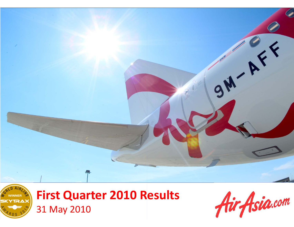



## **First Quarter 2010 Results** 31 May 2010

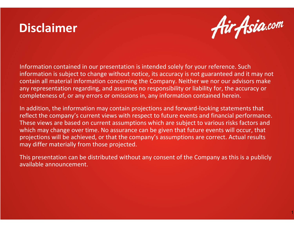## **Disclaimer**



Information contained in our presentation is intended solely for your reference. Such information is subject to change without notice, its accuracy is not guaranteed and it may not contain all material information concerning the Company. Neither we nor our advisors make any representation regarding, and assumes no responsibility or liability for, the accuracy or completeness of, or any errors or omissions in, any information contained herein.

In addition, the information may contain projections and forward-looking statements that reflect the company's current views with respect to future events and financial performance. These views are based on current assumptions which are subject to various risks factors and which may change over time. No assurance can be given that future events will occur, that projections will be achieved, or that the company's assumptions are correct. Actual results may differ materially from those projected.

This presentation can be distributed without any consent of the Company as this is a publicly available announcement.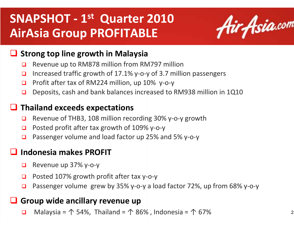## **SNAPSHOT - <sup>1</sup>st Quarter 2010AirAsia Group PROFITABLE**



# **Strong top line growth in Malaysia**<br>Bevenue up to PM979 million from PA

- $\Box$ Revenue up to RM878 million from RM797 million
- $\Box$ Increased traffic growth of 17.1% y-o-y of 3.7 million passengers
- $\Box$ □ Profit after tax of RM224 million, up 10% y y or 3.7 m<br>0% y-o-y
- $\Box$ Deposits, cash and bank balances increased to RM938 million in 1Q10

# **Thailand exceeds expectations**<br>Revenue of THB2, 108 million reset

- $\Box$ ■ Revenue of THB3, 108 million recording 30% y-o-y growth
- $\Box$ Posted profit after tax growth of 109% y-o-y
- $\Box$ Passenger volume and load factor up 25 25% and 5% y-o-y

# **Indonesia makes PROFIT**

- $\Box$ Revenue up 37% y-o-y
- $\Box$ □ Posted 107% growth profit after tax y-o-y
- $\Box$ **□** Passenger volume grew by 35% y-o-y a load factor 72%, up from 68% y-o-y

# Group wide ancillary revenue up

 $\Box$ Malaysia =  $\uparrow$  54%, Thailand =  $\uparrow$  86%, Indonesia =  $\uparrow$  67%  $\frac{2}{2}$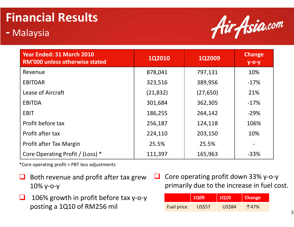# **Financial Results**

#### **-**Malaysia



| Year Ended: 31 March 2010<br><b>RM'000 unless otherwise stated</b> | <b>1Q2010</b> | <b>1Q2009</b> | <b>Change</b><br>$y$ -O- $y$ |
|--------------------------------------------------------------------|---------------|---------------|------------------------------|
| Revenue                                                            | 878,041       | 797,131       | 10%                          |
| <b>EBITDAR</b>                                                     | 323,516       | 389,956       | $-17%$                       |
| Lease of Aircraft                                                  | (21, 832)     | (27, 650)     | 21%                          |
| <b>EBITDA</b>                                                      | 301,684       | 362,305       | $-17%$                       |
| <b>EBIT</b>                                                        | 186,255       | 264,142       | $-29%$                       |
| Profit before tax                                                  | 256,187       | 124,118       | 106%                         |
| Profit after tax                                                   | 224,110       | 203,150       | 10%                          |
| Profit after Tax Margin                                            | 25.5%         | 25.5%         |                              |
| Core Operating Profit / (Loss) *                                   | 111,397       | 165,963       | $-33%$                       |

\*Core operating profit = PBT less adjustments

- Both revenue and profit after tax grew<br> $10\%$  M  $\odot$  M 10% y-o-y
- $\sqcup$  $\Box$  106% growth in profit before tax y-o-y posting a 1Q10 of RM256 mil
- $\Box$  Core operating profit down 33% y-o-y primarily due to the increase in fuel cost.

|                   | <b>1Q09</b>   | <b>1Q10</b>   | <b>Change</b> |
|-------------------|---------------|---------------|---------------|
| <b>Fuel price</b> | <b>US\$57</b> | <b>US\$84</b> | 个47%          |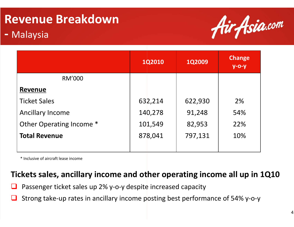# **Revenue Breakdown**

#### **-**Malaysia



|                          | <b>1Q2010</b> | <b>1Q2009</b> | <b>Change</b><br>$y$ -O- $y$ |
|--------------------------|---------------|---------------|------------------------------|
| <b>RM'000</b>            |               |               |                              |
| <b>Revenue</b>           |               |               |                              |
| <b>Ticket Sales</b>      | 632,214       | 622,930       | 2%                           |
| <b>Ancillary Income</b>  | 140,278       | 91,248        | 54%                          |
| Other Operating Income * | 101,549       | 82,953        | 22%                          |
| <b>Total Revenue</b>     | 878,041       | 797,131       | 10%                          |
|                          |               |               |                              |

\* Inclusive of aircraft lease income

### **Tickets sales, ancillary income and other operating income all up in 1Q10**

- $\Box$ **Q** Passenger ticket sales up 2% y-o-y despite increased capacity<br>
—
- $\Box$ ■ Strong take-up rates in ancillary income posting best performance of 54% y-o-y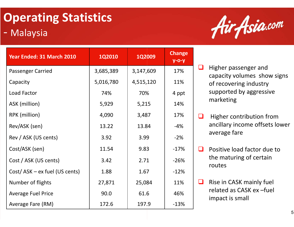# **Operating Statistics**

#### -Malaysia

| Year Ended: 31 March 2010     | <b>1Q2010</b> | <b>1Q2009</b> | <b>Change</b><br>$y$ -o-y |
|-------------------------------|---------------|---------------|---------------------------|
| Passenger Carried             | 3,685,389     | 3,147,609     | 17%                       |
| Capacity                      | 5,016,780     | 4,515,120     | 11%                       |
| Load Factor                   | 74%           | 70%           | 4 ppt                     |
| ASK (million)                 | 5,929         | 5,215         | 14%                       |
| RPK (million)                 | 4,090         | 3,487         | 17%                       |
| Rev/ASK (sen)                 | 13.22         | 13.84         | $-4%$                     |
| Rev / ASK (US cents)          | 3.92          | 3.99          | $-2%$                     |
| Cost/ASK (sen)                | 11.54         | 9.83          | $-17%$                    |
| Cost / ASK (US cents)         | 3.42          | 2.71          | $-26%$                    |
| Cost/ASK - ex fuel (US cents) | 1.88          | 1.67          | $-12%$                    |
| Number of flights             | 27,871        | 25,084        | 11%                       |
| <b>Average Fuel Price</b>     | 90.0          | 61.6          | 46%                       |
| Average Fare (RM)             | 172.6         | 197.9         | $-13%$                    |



- $\Box$  Higher passenger and capacity volumes show signs of recovering industry supported by aggressive marketing
- $\Box$  Higher contribution from ancillary income offsets lower average fare
- $\Box$  Positive load factor due to the maturing of certain routes
- u. Rise in CASK mainly fuel related as CASK ex –fuel impact is small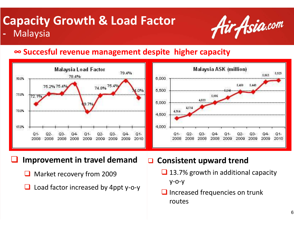#### **Capacity Growth & Load Factor-**Malaysia



## **∞ Succesful revenue management despite higher capacity**



**Improvement in travel demand**

 $\Box$ Market recovery from 2009

 $\Box$ 

 $\Box$ Load factor increased by 4ppt y-o-y  $\Box$ **Consistent upward trend**

- 13.7% growth in additional capacity y-o-y
- Increased frequencies on trunk routes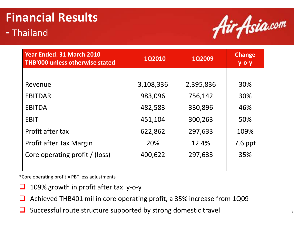## **Financial Results-**<mark>- Thailand</mark>



| <b>Year Ended: 31 March 2010</b><br>THB'000 unless otherwise stated | <b>1Q2010</b><br><b>1Q2009</b> |           | <b>Change</b><br>$y - 0 - y$ |
|---------------------------------------------------------------------|--------------------------------|-----------|------------------------------|
|                                                                     |                                |           |                              |
| Revenue                                                             | 3,108,336                      | 2,395,836 | 30%                          |
| <b>EBITDAR</b>                                                      | 983,096                        | 756,142   | 30%                          |
| <b>EBITDA</b>                                                       | 482,583                        | 330,896   | 46%                          |
| <b>EBIT</b>                                                         | 451,104                        | 300,263   | 50%                          |
| Profit after tax                                                    | 622,862                        | 297,633   | 109%                         |
| Profit after Tax Margin                                             | 20%                            | 12.4%     | 7.6 ppt                      |
| Core operating profit / (loss)                                      | 400,622                        | 297,633   | 35%                          |
|                                                                     |                                |           |                              |

\*Core operating profit = PBT less adjustments

- $\Box$ 109% growth in profit after tax y-o-y
- $\Box$ Achieved THB401 mil in core operating profit, a 35% increase from 1Q09
- $\Box$ Successful route structure supported by strong domestic travel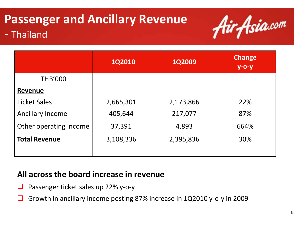## **Passenger and Ancillary Revenue--** Thailand



|                         | <b>1Q2010</b> | <b>1Q2009</b> | <b>Change</b><br><u>у-о-у'</u> |
|-------------------------|---------------|---------------|--------------------------------|
| <b>THB'000</b>          |               |               |                                |
| <b>Revenue</b>          |               |               |                                |
| <b>Ticket Sales</b>     | 2,665,301     | 2,173,866     | 22%                            |
| <b>Ancillary Income</b> | 405,644       | 217,077       | 87%                            |
| Other operating income  | 37,391        | 4,893         | 664%                           |
| <b>Total Revenue</b>    | 3,108,336     | 2,395,836     | 30%                            |
|                         |               |               |                                |

### **All across the board increase in revenue**

- ப Passenger ticket sales up 22% y-o-y
- $\Box$ ■ Growth in ancillary income posting 87% increase in 1Q2010 y-o-y in 2009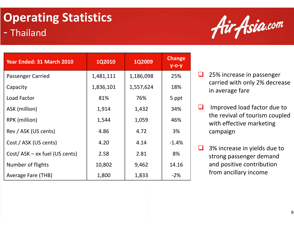## **Operating Statistics**-<mark>- Thailand</mark>

| Year Ended: 31 March 2010     | <b>1Q2010</b> | <b>1Q2009</b> | <b>Change</b><br>$y$ -o-y |
|-------------------------------|---------------|---------------|---------------------------|
| <b>Passenger Carried</b>      | 1,481,111     | 1,186,098     | 25%                       |
| Capacity                      | 1,836,101     | 1,557,624     | 18%                       |
| Load Factor                   | 81%           | 76%           | 5 ppt                     |
| ASK (million)                 | 1,914         | 1,432         | 34%                       |
| RPK (million)                 | 1,544         | 1,059         | 46%                       |
| Rev / ASK (US cents)          | 4.86          | 4.72          | 3%                        |
| Cost / ASK (US cents)         | 4.20          | 4.14          | $-1.4%$                   |
| Cost/ASK - ex fuel (US cents) | 2.58          | 2.81          | 8%                        |
| Number of flights             | 10,802        | 9,462         | 14.16                     |
| Average Fare (THB)            | 1,800         | 1,833         | $-2%$                     |



- $\Box$  25% increase in passenger carried with only 2% decrease in average fare
- $\Box$  Improved load factor due to the revival of tourism coupled with effective marketing campaign
- $\Box$  3% increase in yields due to strong passenger demand and positive contribution from ancillary income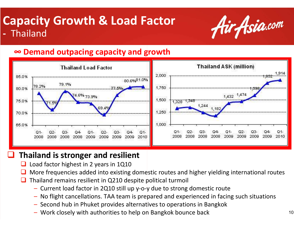### **Capacity Growth & Load Factor-**- Thailand



### **∞ Demand outpacing capacity and growth**



### **Thailand is stronger and resilient**

 $\Box$ Load factor highest in 2 years in 1Q10

 $\Box$ 

- $\Box$  $\Box$  More frequencies added into existing domestic routes and higher yielding international routes
- u Thailand remains resilient in Q210 despite political turmoil
	- Current load factor in 2Q10 still up y-o-y due to strong domestic route
	- No flight cancellations. TAA team is prepared and experienced in facing such situations y due to strong domest<br>pared and experienced<br>ives to operations in Ba<br>n Bangkok bounce back
	- Second hub in Phuket provides alternatives to operations in Bangkok
	- Work closely with authorities to help on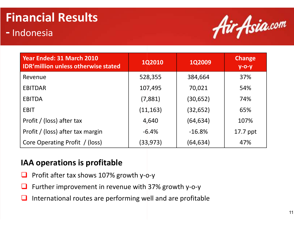# **Financial Results**

#### **--** Indonesia



| Year Ended: 31 March 2010<br><b>IDR'million unless otherwise stated</b> | <b>1Q2010</b> | <b>1Q2009</b> | <b>Change</b><br>$y$ -O- $y$ |
|-------------------------------------------------------------------------|---------------|---------------|------------------------------|
| Revenue                                                                 | 528,355       | 384,664       | 37%                          |
| <b>EBITDAR</b>                                                          | 107,495       | 70,021        | 54%                          |
| EBITDA                                                                  | (7,881)       | (30, 652)     | 74%                          |
| <b>EBIT</b>                                                             | (11, 163)     | (32, 652)     | 65%                          |
| Profit / (loss) after tax                                               | 4,640         | (64, 634)     | 107%                         |
| Profit / (loss) after tax margin                                        | $-6.4%$       | $-16.8%$      | 17.7 ppt                     |
| Core Operating Profit / (loss)                                          | (33, 973)     | (64,634)      | 47%                          |

### **IAA operations is profitable**

- ⊔ ■ Profit after tax shows 107% growth y-o-y
- $\Box$ **Q** Further improvement in revenue with 37% growth y-o-y
- $\Box$ International routes are performing well and are profitable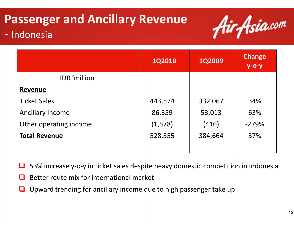# **Passenger and Ancillary Revenue**



#### **--** Indonesia

|                         | <b>1Q2010</b> | <b>1Q2009</b> | <b>Change</b><br>$y$ -o-y |
|-------------------------|---------------|---------------|---------------------------|
| <b>IDR</b> 'million     |               |               |                           |
| Revenue                 |               |               |                           |
| <b>Ticket Sales</b>     | 443,574       | 332,067       | 34%                       |
| <b>Ancillary Income</b> | 86,359        | 53,013        | 63%                       |
| Other operating income  | (1, 578)      | (416)         | $-279%$                   |
| <b>Total Revenue</b>    | 528,355       | 384,664       | 37%                       |
|                         |               |               |                           |

ப ■ 53% increase y-o-y in ticket sales despite heavy domestic competition in Indonesia<br>一

- $\Box$ Better route mix for international market
- $\Box$ Upward trending for ancillary income due to high passenger take up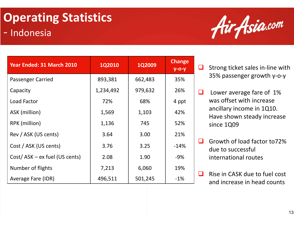## **Operating Statistics**-<mark>- Indonesia</mark>

| Year Ended: 31 March 2010     | <b>1Q2010</b> | <b>1Q2009</b> | <b>Change</b><br>$y$ -o-y |
|-------------------------------|---------------|---------------|---------------------------|
| <b>Passenger Carried</b>      | 893,381       | 662,483       | 35%                       |
| Capacity                      | 1,234,492     | 979,632       | 26%                       |
| Load Factor                   | 72%           | 68%           | 4 ppt                     |
| ASK (million)                 | 1,569         | 1,103         | 42%                       |
| RPK (million)                 | 1,136         | 745           | 52%                       |
| Rev / ASK (US cents)          | 3.64          | 3.00          | 21%                       |
| Cost / ASK (US cents)         | 3.76          | 3.25          | $-14%$                    |
| Cost/ASK - ex fuel (US cents) | 2.08          | 1.90          | $-9%$                     |
| Number of flights             | 7,213         | 6,060         | 19%                       |
| Average Fare (IDR)            | 496,511       | 501,245       | $-1\%$                    |



❏ Strong ticket sales in-line with 35% passenger growth y-o-y

 $\Box$  Lower average fare of 1% was offset with increase ancillary income in 1Q10. Have shown steady increase since 1Q09

- $\Box$  Growth of load factor to72% due to successful international routes
- $\Box$  Rise in CASK due to fuel cost and increase in head counts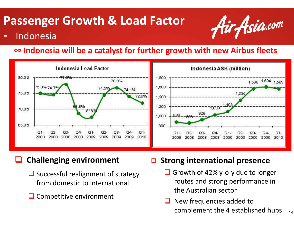# **Passenger Growth & Load Factor**<br>- *Fadonesia*



### Indonesia

### **∞ Indonesia will be a catalyst for further growth with new Airbus fleets**



#### $\Box$ **Challenging environment**

- Successful realignment of strategy from domestic to international
- **Q** Competitive environment

#### $\Box$ **Strong international presence**

- Growth of  $42\%$  y-o-y due to longer routes and strong performance in the Australian sector
- 14 $\Box$  New frequencies added to complement the 4 established hubs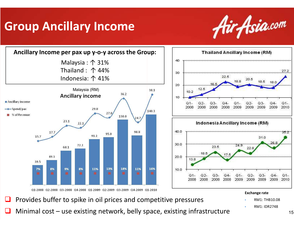## **Group Ancillary Income**





 $\Box$ Minimal cost – use existing network, belly space, existing infrastructure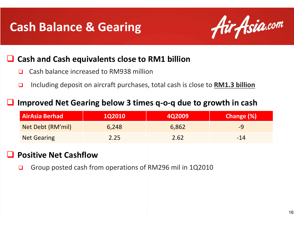## **Cash Balance & Gearing**



# **Cash and Cash equivalents close to RM1 billion**

- $\Box$ Cash balance increased to RM938 million
- $\Box$ Including deposit on aircraft purchases, total cash is close to **RM1.3 billion**

#### $\Box$ **Improved Net Gearing below 3 times q-o-q due to growth in cash**

| <b>AirAsia Berhad</b> | <b>1Q2010</b> | 4Q2009 | <b>Change (%)</b> |
|-----------------------|---------------|--------|-------------------|
| Net Debt (RM'mil)     | 6,248         | 6,862  | -9                |
| <b>Net Gearing</b>    | 2.25          | 2.62   | $-14$             |

#### $\Box$ **Positive Net Cashflow**

□ ■ Group posted cash from operations of RM296 mil in 1Q2010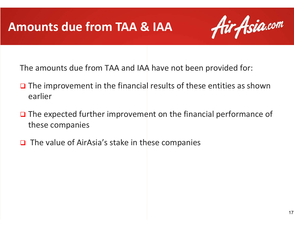## **Amounts due from TAA & IAA**



The amounts due from TAA and IAA have not been provided for:

- □ The improvement in the financial results of these entities as shown earlier
- **□** The expected further improvement on the financial performance of these companies
- $\Box$  The value of AirAsia's stake in these companies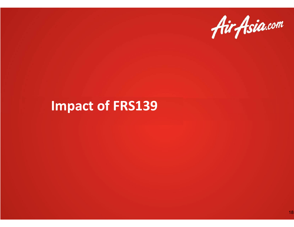

## **Impact of FRS139**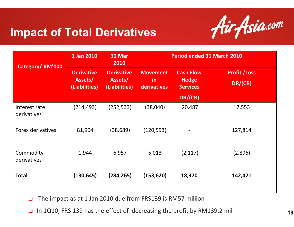## **Impact of Total Derivatives**



| Category/RM'000              | 1 Jan 2010                                    | 31 Mar<br>2010                                |                                       | <b>Period ended 31 March 2010</b>                   |                                 |  |
|------------------------------|-----------------------------------------------|-----------------------------------------------|---------------------------------------|-----------------------------------------------------|---------------------------------|--|
|                              | <b>Derivative</b><br>Assets/<br>(Liabilities) | <b>Derivative</b><br>Assets/<br>(Liabilities) | <b>Movement</b><br>in.<br>derivatives | <b>Cash Flow</b><br><b>Hedge</b><br><b>Services</b> | <b>Profit / Loss</b><br>DR/(CR) |  |
|                              |                                               |                                               |                                       | DR/(CR)                                             |                                 |  |
| Interest rate<br>derivatives | (214, 493)                                    | (252, 533)                                    | (38,040)                              | 20,487                                              | 17,553                          |  |
| Forex derivatives            | 81,904                                        | (38, 689)                                     | (120, 593)                            |                                                     | 127,814                         |  |
| Commodity<br>derivatives     | 1,944                                         | 6,957                                         | 5,013                                 | (2, 117)                                            | (2,896)                         |  |
| <b>Total</b>                 | (130, 645)                                    | (284, 265)                                    | (153, 620)                            | 18,370                                              | 142,471                         |  |

 $\Box$ ■ The impact as at 1 Jan 2010 due from FRS139 is RM57 million

 $\Box$ In 1Q10, FRS 139 has the effect of decreasing the profit by RM139.2 mil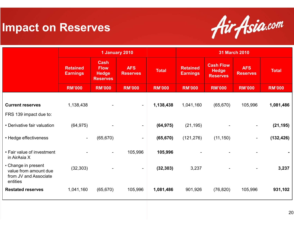## **Impact on Reserves**



|                                                                                   |                                    | 1 January 2010                                                |                               |               | <b>31 March 2010</b>               |                                                     |                               |               |
|-----------------------------------------------------------------------------------|------------------------------------|---------------------------------------------------------------|-------------------------------|---------------|------------------------------------|-----------------------------------------------------|-------------------------------|---------------|
|                                                                                   | <b>Retained</b><br><b>Earnings</b> | <b>Cash</b><br><b>Flow</b><br><b>Hedge</b><br><b>Reserves</b> | <b>AFS</b><br><b>Reserves</b> | <b>Total</b>  | <b>Retained</b><br><b>Earnings</b> | <b>Cash Flow</b><br><b>Hedge</b><br><b>Reserves</b> | <b>AFS</b><br><b>Reserves</b> | <b>Total</b>  |
|                                                                                   | <b>RM'000</b>                      | <b>RM'000</b>                                                 | <b>RM'000</b>                 | <b>RM'000</b> | <b>RM'000</b>                      | <b>RM'000</b>                                       | <b>RM'000</b>                 | <b>RM'000</b> |
| <b>Current reserves</b>                                                           | 1,138,438                          |                                                               | $\sim$                        | 1,138,438     | 1,041,160                          | (65, 670)                                           | 105,996                       | 1,081,486     |
| FRS 139 impact due to:                                                            |                                    |                                                               |                               |               |                                    |                                                     |                               |               |
| • Derivative fair valuation                                                       | (64, 975)                          |                                                               | $\sim$                        | (64, 975)     | (21, 195)                          |                                                     | $\blacksquare$                | (21, 195)     |
| • Hedge effectiveness                                                             | $\blacksquare$                     | (65, 670)                                                     | $\blacksquare$                | (65, 670)     | (121, 276)                         | (11, 150)                                           | $\blacksquare$                | (132, 426)    |
| • Fair value of investment<br>in AirAsia X                                        |                                    | $\blacksquare$                                                | 105,996                       | 105,996       |                                    |                                                     |                               |               |
| • Change in present<br>value from amount due<br>from JV and Associate<br>entities | (32, 303)                          |                                                               | $\blacksquare$                | (32, 303)     | 3,237                              |                                                     |                               | 3,237         |
| <b>Restated reserves</b>                                                          | 1,041,160                          | (65, 670)                                                     | 105,996                       | 1,081,486     | 901,926                            | (76, 820)                                           | 105,996                       | 931,102       |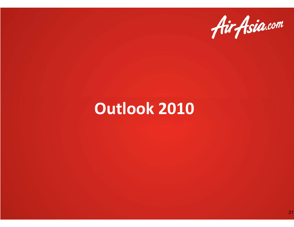

# **Outlook 2010**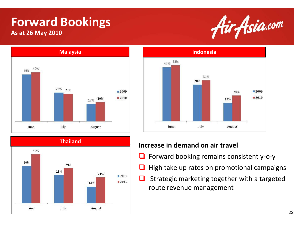# **Forward Bookings**

#### **As at 26 May 2010**









#### **Increase in demand on air travel**

- $\Box$ Forward booking remains consistent y-o-y
- $\Box$ High take up rates on promotional campaigns
- $\Box$ Strategic marketing together with a targeted route revenue management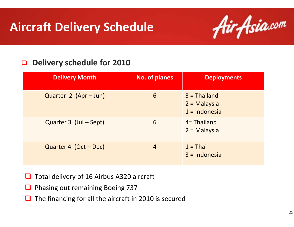## **Aircraft Delivery Schedule**



#### $\Box$ **Delivery schedule for 2010**

| <b>Delivery Month</b>  | No. of planes | <b>Deployments</b>                                  |
|------------------------|---------------|-----------------------------------------------------|
| Quarter 2 (Apr - Jun)  | 6             | $3 =$ Thailand<br>$2 =$ Malaysia<br>$1 = Indonesia$ |
| Quarter 3 (Jul – Sept) | 6             | $4 = Thailand$<br>$2 =$ Malaysia                    |
| Quarter 4 (Oct – Dec)  | 4             | $1 = Thai$<br>$3 = Indonesia$                       |

- $\sqcup$ Total delivery of 16 Airbus A320 aircraft
- ⊔ Phasing out remaining Boeing 737
- ⊔ The financing for all the aircraft in 2010 is secured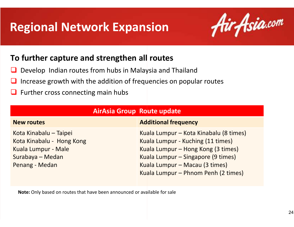## **Regional Network Expansion**



### **To further capture and strengthen all routes**

- $\Box$ Develop Indian routes from hubs in Malaysia and Thailand
- $\Box$ Increase growth with the addition of frequencies on popular routes
- $\Box$ Further cross connecting main hubs

| <b>AirAsia Group Route update</b>                                                                                |                                                                                                                                                                                                                                  |  |  |
|------------------------------------------------------------------------------------------------------------------|----------------------------------------------------------------------------------------------------------------------------------------------------------------------------------------------------------------------------------|--|--|
| <b>New routes</b>                                                                                                | <b>Additional frequency</b>                                                                                                                                                                                                      |  |  |
| Kota Kinabalu - Taipei<br>Kota Kinabalu - Hong Kong<br>Kuala Lumpur - Male<br>Surabaya - Medan<br>Penang - Medan | Kuala Lumpur – Kota Kinabalu (8 times)<br>Kuala Lumpur - Kuching (11 times)<br>Kuala Lumpur – Hong Kong (3 times)<br>Kuala Lumpur – Singapore (9 times)<br>Kuala Lumpur – Macau (3 times)<br>Kuala Lumpur – Phnom Penh (2 times) |  |  |

**Note:** Only based on routes that have been announced or available for sale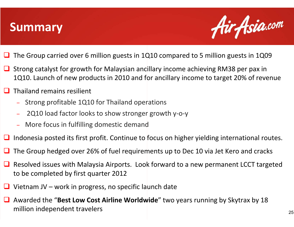## **Summary**



- $\Box$ ■ The Group carried over 6 million guests in 1Q10 compared to 5 million guests in 1Q09
- Strong catalyst for growth for Malaysian ancillary income achieving RM38 per pax in<br>1010 Jaunch of new products in 2010 and for ancillary income to target 20% of rove 1Q10. Launch of new products in 2010 and for ancillary income to target 20% of revenue
- $\Box$  Thailand remains resilient
	- Strong profitable 1Q10 for Thailand operations
	- $-$  2Q10 load factor looks to show stronger growth y-o-y
	- More focus in fulfilling domestic demand
- $\Box$ Indonesia posted its first profit. Continue to focus on higher yielding international routes.
- $\Box$ **□** The Group hedged over 26% of fuel requirements up to Dec 10 via Jet Kero and cracks
- Resolved issues with Malaysia Airports. Look forward to a new permanent LCCT targeted to be completed by first quarter  $2012$ to be completed by first quarter 2012
- $\Box$ Vietnam JV – work in progress, no specific launch date
- Awarded the "**Best Low Cost Airline Worldwide** " two years running by Skytrax by 18 million independent travelers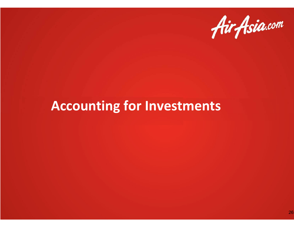

# **Accounting for Investments**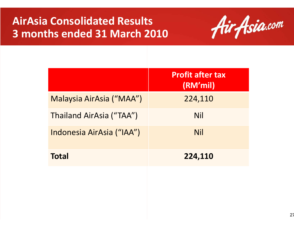## **AirAsia Consolidated Results 3 months ended 31 March 2010**



|                           | <b>Profit after tax</b><br>(RM'mil) |
|---------------------------|-------------------------------------|
| Malaysia AirAsia ("MAA")  | 224,110                             |
| Thailand AirAsia ("TAA")  | <b>Nil</b>                          |
| Indonesia AirAsia ("IAA") | <b>Nil</b>                          |
| <b>Total</b>              | 224,110                             |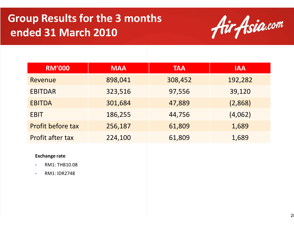## **Group Results for the 3 monthsended 31 March 2010**



| <b>RM'000</b>     | <b>MAA</b> | <b>TAA</b> | <b>IAA</b> |
|-------------------|------------|------------|------------|
| Revenue           | 898,041    | 308,452    | 192,282    |
| <b>EBITDAR</b>    | 323,516    | 97,556     | 39,120     |
| <b>EBITDA</b>     | 301,684    | 47,889     | (2,868)    |
| <b>EBIT</b>       | 186,255    | 44,756     | (4,062)    |
| Profit before tax | 256,187    | 61,809     | 1,689      |
| Profit after tax  | 224,100    | 61,809     | 1,689      |

#### **Exchange rate**

- •RM1: THB10.08
- •RM1: IDR2748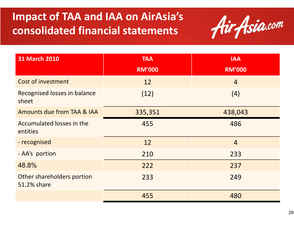## **Impact of TAA and IAA on AirAsia'sconsolidated financial statements**



| <b>31 March 2010</b>                      | <b>TAA</b>    | <b>IAA</b>     |  |
|-------------------------------------------|---------------|----------------|--|
|                                           | <b>RM'000</b> | <b>RM'000</b>  |  |
| <b>Cost of investment</b>                 | 12            | $\overline{4}$ |  |
| Recognised losses in balance<br>sheet     | (12)          | (4)            |  |
| Amounts due from TAA & IAA                | 335,351       | 438,043        |  |
| Accumulated losses in the<br>entities     | 455           | 486            |  |
| - recognised                              | 12            | $\overline{4}$ |  |
| - AA's portion                            | 210           | 233            |  |
| 48.8%                                     | 222           | 237            |  |
| Other shareholders portion<br>51.2% share | 233           | 249            |  |
|                                           | 455           | 480            |  |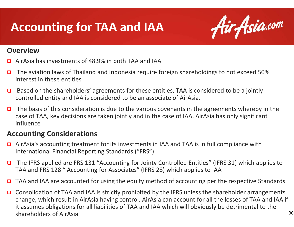# **Accounting for TAA and IAA**



#### **Overview**

- AirAsia has investments of 48.9% in both TAA and IAA □
- $\Box$  The aviation laws of Thailand and Indonesia require foreign shareholdings to not exceed 50% interest in these entities
- $\Box$  Based on the shareholders' agreements for these entities, TAA is considered to be a jointly controlled entity and IAA is considered to be an associate of AirAsia.
- $\Box$  The basis of this consideration is due to the various covenants in the agreements whereby in the case of TAA, key decisions are taken jointly and in the case of IAA, AirAsia has only significant influence

#### **Accounting Considerations**

- $\Box$  AirAsia's accounting treatment for its investments in IAA and TAA is in full compliance with International Financial Reporting Standards ("FRS")
- $\Box$  The IFRS applied are FRS 131 "Accounting for Jointy Controlled Entities" (IFRS 31) which applies to TAA and FRS 128 " Accounting for Associates" (IFRS 28) which applies to IAA
- ❏ TAA and IAA are accounted for using the equity method of accounting per the respective Standards
- $\Box$  Consolidation of TAA and IAA is strictly prohibited by the IFRS unless the shareholder arrangements change, which result in AirAsia having control. AirAsia can account for all the losses of TAA and IAA if it assumes obligations for all liabilities of TAA and IAA which will obviously be detrimental to the shareholders of AirAsia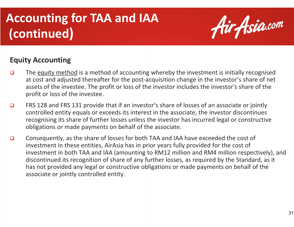# **Accounting for TAA and IAA(continued)**



#### **Equity Accounting**

- $\Box$  The equity method is a method of accounting whereby the investment is initially recognised at cost and adjusted thereafter for the post-acquisition change in the investor's share of net assets of the investee. The profit or loss of the investor includes the investor's share of the profit or loss of the investee.
- $\Box$  FRS 128 and FRS 131 provide that if an investor's share of losses of an associate or jointly controlled entity equals or exceeds its interest in the associate, the investor discontinues recognising its share of further losses unless the investor has incurred legal or constructive obligations or made payments on behalf of the associate.
- ◘ Consequently, as the share of losses for both TAA and IAA have exceeded the cost of investment in these entities, AirAsia has in prior years fully provided for the cost of investment in both TAA and IAA (amounting to RM12 million and RM4 million respectively), and discontinued its recognition of share of any further losses, as required by the Standard, as it has not provided any legal or constructive obligations or made payments on behalf of the associate or jointly controlled entity.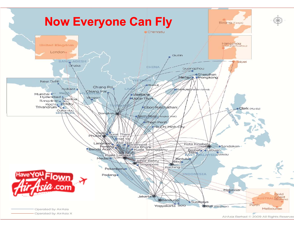

AirAsia Berhad © 2009 All Rights Reserved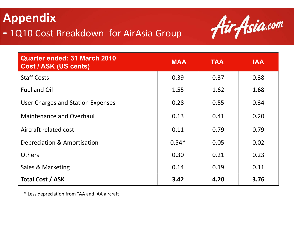### **Appendix-**1Q10 Cost Breakdown for AirAsia Group



| Quarter ended: 31 March 2010<br><b>Cost / ASK (US cents)</b> | <b>MAA</b> | <b>TAA</b> | <b>IAA</b> |
|--------------------------------------------------------------|------------|------------|------------|
| <b>Staff Costs</b>                                           | 0.39       | 0.37       | 0.38       |
| Fuel and Oil                                                 | 1.55       | 1.62       | 1.68       |
| User Charges and Station Expenses                            | 0.28       | 0.55       | 0.34       |
| <b>Maintenance and Overhaul</b>                              | 0.13       | 0.41       | 0.20       |
| Aircraft related cost                                        | 0.11       | 0.79       | 0.79       |
| Depreciation & Amortisation                                  | $0.54*$    | 0.05       | 0.02       |
| <b>Others</b>                                                | 0.30       | 0.21       | 0.23       |
| Sales & Marketing                                            | 0.14       | 0.19       | 0.11       |
| <b>Total Cost / ASK</b>                                      | 3.42       | 4.20       | 3.76       |

\* Less depreciation from TAA and IAA aircraft